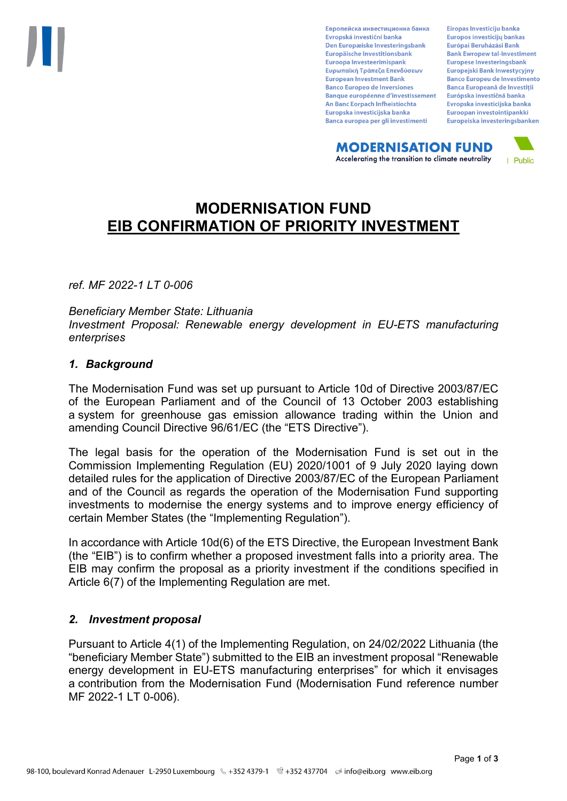Европейска инвестиционна банка Evropská investiční banka Den Europæiske Investeringsbank Europäische Investitionsbank Euroopa Investeerimispank Ευρωπαϊκή Τράπεζα Επενδύσεων **European Investment Bank Banco Europeo de Inversiones Banque européenne d'investissement** An Banc Eorpach Infheistíochta Europska investicijska banka Banca europea per gli investimenti

Eiropas Investīciju banka Europos investicijų bankas Európai Beruházási Bank **Bank Ewropew tal-Investiment** Europese Investeringsbank **Europeiski Bank Inwestycviny Banco Europeu de Investimento Banca Europeană de Investiții** Európska investičná banka Evropska investicijska banka Euroopan investointipankki Europeiska investeringsbanken

**MODERNISATION FUND** Accelerating the transition to climate neutrality



# **MODERNISATION FUND EIB CONFIRMATION OF PRIORITY INVESTMENT**

*ref. MF 2022-1 LT 0-006*

## *Beneficiary Member State: Lithuania Investment Proposal: Renewable energy development in EU-ETS manufacturing enterprises*

## *1. Background*

The Modernisation Fund was set up pursuant to Article 10d of Directive 2003/87/EC of the European Parliament and of the Council of 13 October 2003 establishing a system for greenhouse gas emission allowance trading within the Union and amending Council Directive 96/61/EC (the "ETS Directive").

The legal basis for the operation of the Modernisation Fund is set out in the Commission Implementing Regulation (EU) 2020/1001 of 9 July 2020 laying down detailed rules for the application of Directive 2003/87/EC of the European Parliament and of the Council as regards the operation of the Modernisation Fund supporting investments to modernise the energy systems and to improve energy efficiency of certain Member States (the "Implementing Regulation").

In accordance with Article 10d(6) of the ETS Directive, the European Investment Bank (the "EIB") is to confirm whether a proposed investment falls into a priority area. The EIB may confirm the proposal as a priority investment if the conditions specified in Article 6(7) of the Implementing Regulation are met.

## *2. Investment proposal*

Pursuant to Article 4(1) of the Implementing Regulation, on 24/02/2022 Lithuania (the "beneficiary Member State") submitted to the EIB an investment proposal "Renewable energy development in EU-ETS manufacturing enterprises" for which it envisages a contribution from the Modernisation Fund (Modernisation Fund reference number MF 2022-1 LT 0-006).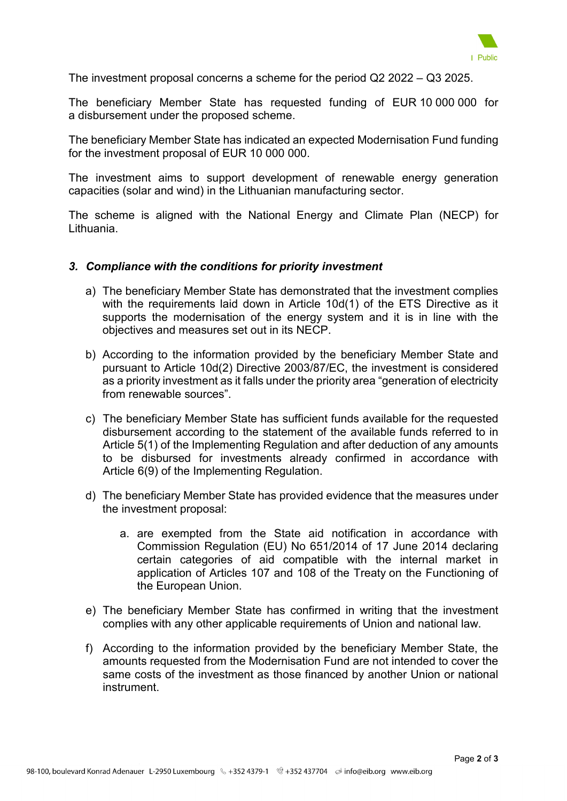

The investment proposal concerns a scheme for the period Q2 2022 – Q3 2025.

The beneficiary Member State has requested funding of EUR 10 000 000 for a disbursement under the proposed scheme.

The beneficiary Member State has indicated an expected Modernisation Fund funding for the investment proposal of EUR 10 000 000.

The investment aims to support development of renewable energy generation capacities (solar and wind) in the Lithuanian manufacturing sector.

The scheme is aligned with the National Energy and Climate Plan (NECP) for Lithuania.

## *3. Compliance with the conditions for priority investment*

- a) The beneficiary Member State has demonstrated that the investment complies with the requirements laid down in Article 10d(1) of the ETS Directive as it supports the modernisation of the energy system and it is in line with the objectives and measures set out in its NECP.
- b) According to the information provided by the beneficiary Member State and pursuant to Article 10d(2) Directive 2003/87/EC, the investment is considered as a priority investment as it falls under the priority area "generation of electricity from renewable sources".
- c) The beneficiary Member State has sufficient funds available for the requested disbursement according to the statement of the available funds referred to in Article 5(1) of the Implementing Regulation and after deduction of any amounts to be disbursed for investments already confirmed in accordance with Article 6(9) of the Implementing Regulation.
- d) The beneficiary Member State has provided evidence that the measures under the investment proposal:
	- a. are exempted from the State aid notification in accordance with Commission Regulation (EU) No 651/2014 of 17 June 2014 declaring certain categories of aid compatible with the internal market in application of Articles 107 and 108 of the Treaty on the Functioning of the European Union.
- e) The beneficiary Member State has confirmed in writing that the investment complies with any other applicable requirements of Union and national law.
- f) According to the information provided by the beneficiary Member State, the amounts requested from the Modernisation Fund are not intended to cover the same costs of the investment as those financed by another Union or national instrument.